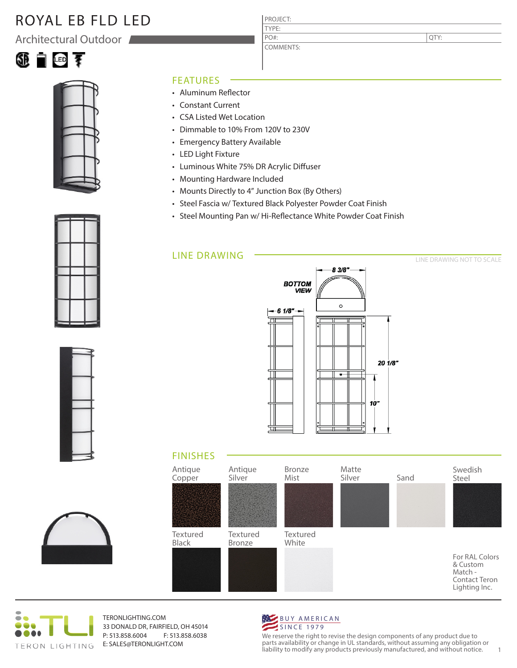# ROYAL EB FLD LED

Architectural Outdoor





#### FEATURES

- Aluminum Reflector
- Constant Current
- CSA Listed Wet Location
- Dimmable to 10% From 120V to 230V
- Emergency Battery Available
- LED Light Fixture
- Luminous White 75% DR Acrylic Diffuser
- Mounting Hardware Included
- Mounts Directly to 4" Junction Box (By Others)
- Steel Fascia w/ Textured Black Polyester Powder Coat Finish

PROJECT: TYPE:

PO#:

COMMENTS:

• Steel Mounting Pan w/ Hi-Reflectance White Powder Coat Finish

### LINE DRAWING



### FINISHES





TERONLIGHTING.COM 33 DONALD DR, FAIRFIELD, OH 45014 P: 513.858.6004 F: 513.858.6038 E: SALES@TERONLIGHT.COM



We reserve the right to revise the design components of any product due to parts availability or change in UL standards, without assuming any obligation or liability to modify any products previously manufactured, and without notice. 1





QTY:

LINE DRAWING NOT TO SCALE